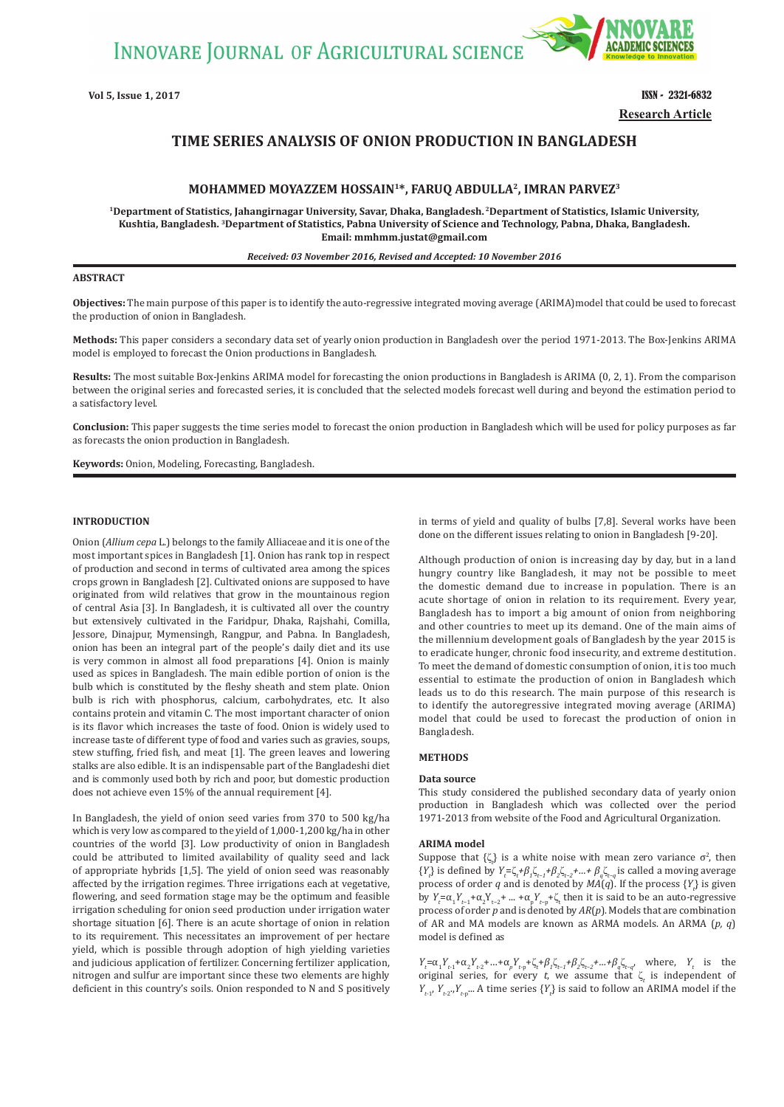INNOVARE JOURNAL OF AGRICULTURAL SCIENCE



**Vol 5, Issue 1, 2017 ISSN - 2321-6832 Research Article**

# **TIME SERIES ANALYSIS OF ONION PRODUCTION IN BANGLADESH**

# **MOHAMMED MOYAZZEM HOSSAIN1\*, FARUQ ABDULLA2, IMRAN PARVEZ3**

**1Department of Statistics, Jahangirnagar University, Savar, Dhaka, Bangladesh. 2Department of Statistics, Islamic University, Kushtia, Bangladesh. 3Department of Statistics, Pabna University of Science and Technology, Pabna, Dhaka, Bangladesh. Email: mmhmm.justat@gmail.com**

*Received: 03 November 2016, Revised and Accepted: 10 November 2016*

#### **ABSTRACT**

**Objectives:** The main purpose of this paper is to identify the auto-regressive integrated moving average (ARIMA)model that could be used to forecast the production of onion in Bangladesh.

**Methods:** This paper considers a secondary data set of yearly onion production in Bangladesh over the period 1971-2013. The Box-Jenkins ARIMA model is employed to forecast the Onion productions in Bangladesh.

**Results:** The most suitable Box-Jenkins ARIMA model for forecasting the onion productions in Bangladesh is ARIMA (0, 2, 1). From the comparison between the original series and forecasted series, it is concluded that the selected models forecast well during and beyond the estimation period to a satisfactory level.

**Conclusion:** This paper suggests the time series model to forecast the onion production in Bangladesh which will be used for policy purposes as far as forecasts the onion production in Bangladesh.

**Keywords:** Onion, Modeling, Forecasting, Bangladesh.

#### **INTRODUCTION**

Onion (*Allium cepa* L*.*) belongs to the family Alliaceae and it is one of the most important spices in Bangladesh [1]. Onion has rank top in respect of production and second in terms of cultivated area among the spices crops grown in Bangladesh [2]. Cultivated onions are supposed to have originated from wild relatives that grow in the mountainous region of central Asia [3]. In Bangladesh, it is cultivated all over the country but extensively cultivated in the Faridpur, Dhaka, Rajshahi, Comilla, Jessore, Dinajpur, Mymensingh, Rangpur, and Pabna. In Bangladesh, onion has been an integral part of the people's daily diet and its use is very common in almost all food preparations [4]. Onion is mainly used as spices in Bangladesh. The main edible portion of onion is the bulb which is constituted by the fleshy sheath and stem plate. Onion bulb is rich with phosphorus, calcium, carbohydrates, etc. It also contains protein and vitamin C. The most important character of onion is its flavor which increases the taste of food. Onion is widely used to increase taste of different type of food and varies such as gravies, soups, stew stuffing, fried fish, and meat [1]. The green leaves and lowering stalks are also edible. It is an indispensable part of the Bangladeshi diet and is commonly used both by rich and poor, but domestic production does not achieve even 15% of the annual requirement [4].

In Bangladesh, the yield of onion seed varies from 370 to 500 kg/ha which is very low as compared to the yield of 1,000-1,200 kg/ha in other countries of the world [3]. Low productivity of onion in Bangladesh could be attributed to limited availability of quality seed and lack of appropriate hybrids [1,5]. The yield of onion seed was reasonably affected by the irrigation regimes. Three irrigations each at vegetative, flowering, and seed formation stage may be the optimum and feasible irrigation scheduling for onion seed production under irrigation water shortage situation [6]. There is an acute shortage of onion in relation to its requirement. This necessitates an improvement of per hectare yield, which is possible through adoption of high yielding varieties and judicious application of fertilizer. Concerning fertilizer application, nitrogen and sulfur are important since these two elements are highly deficient in this country's soils. Onion responded to N and S positively

in terms of yield and quality of bulbs [7,8]. Several works have been done on the different issues relating to onion in Bangladesh [9-20].

Although production of onion is increasing day by day, but in a land hungry country like Bangladesh, it may not be possible to meet the domestic demand due to increase in population. There is an acute shortage of onion in relation to its requirement. Every year, Bangladesh has to import a big amount of onion from neighboring and other countries to meet up its demand. One of the main aims of the millennium development goals of Bangladesh by the year 2015 is to eradicate hunger, chronic food insecurity, and extreme destitution. To meet the demand of domestic consumption of onion, it is too much essential to estimate the production of onion in Bangladesh which leads us to do this research. The main purpose of this research is to identify the autoregressive integrated moving average (ARIMA) model that could be used to forecast the production of onion in Bangladesh.

# **METHODS**

#### **Data source**

This study considered the published secondary data of yearly onion production in Bangladesh which was collected over the period 1971-2013 from website of the Food and Agricultural Organization.

#### **ARIMA model**

Suppose that  $\{\zeta_t\}$  is a white noise with mean zero variance  $\sigma^2$ , then  ${Y<sub>i</sub>}$  is defined by  $Y<sub>i</sub> = \zeta<sub>t</sub> + \beta<sub>1</sub> \zeta<sub>t-1</sub> + \beta<sub>2</sub> \zeta<sub>t-2</sub> + ... + \beta<sub>q</sub> \zeta<sub>t-q</sub>$  is called a moving average process of order *q* and is denoted by  $MA(q)$ . If the process  $\{Y_t\}$  is given by  $Y_t = \alpha_1 Y_{t-1} + \alpha_2 Y_{t-2} + \dots + \alpha_p Y_{t-p} + \zeta_t$  then it is said to be an auto-regressive process of order *p* and is denoted by *AR*(*p*). Models that are combination of AR and MA models are known as ARMA models. An ARMA (*p, q*) model is defined as

*Y*<sub>t</sub>= $\alpha_1 Y_{t-1} + \alpha_2 Y_{t-2} + ... + \alpha_p Y_{t-p} + \zeta_t + \beta_1 \zeta_{t-1} + \beta_2 \zeta_{t-2} + ... + \beta_q \zeta_{t-q}$ , where, *Y<sub>t</sub>* is the original series, for every *t*, we assume that  $\zeta_t$  is independent of  $Y_{t-1}$ ,  $Y_{t-2}$ ,  $Y_{t-p}$ ... A time series  $\{Y_t\}$  is said to follow an ARIMA model if the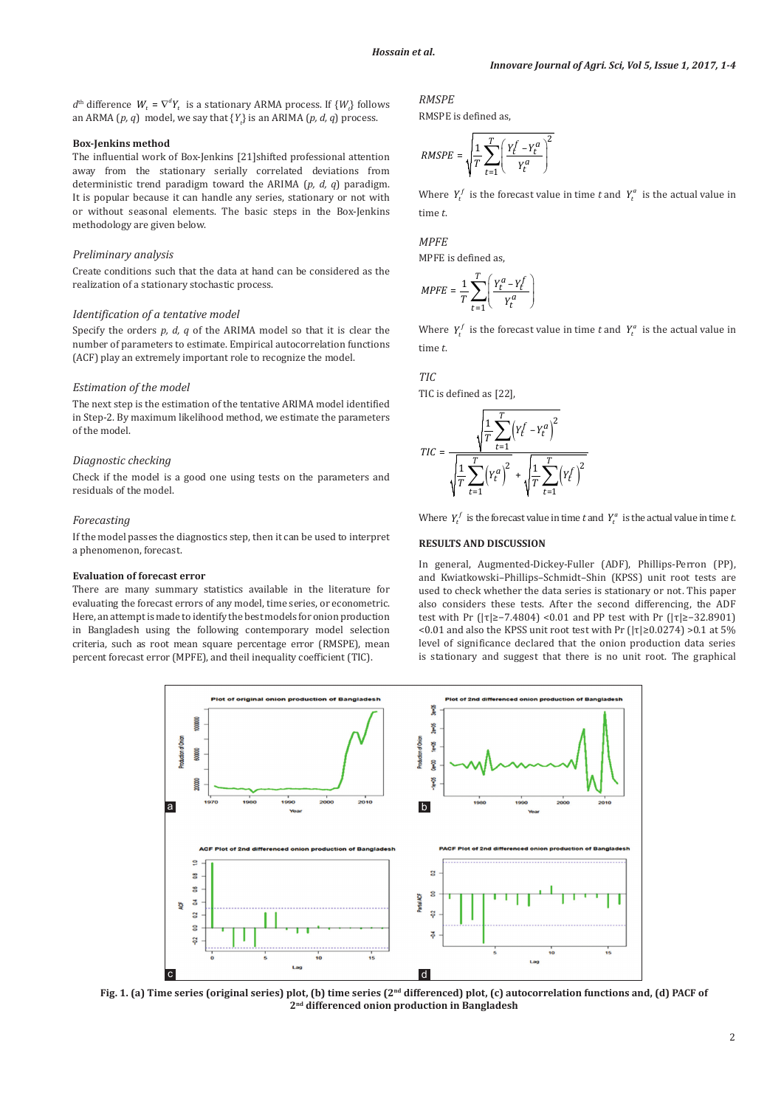$d^{\text{th}}$  difference  $W_t = \nabla^d Y_t$  is a stationary ARMA process. If  $\{W_t\}$  follows an ARMA (*p, q*) model, we say that {*Yt* } is an ARIMA (*p, d, q*) process.

## **Box-Jenkins method**

The influential work of Box-Jenkins [21]shifted professional attention away from the stationary serially correlated deviations from deterministic trend paradigm toward the ARIMA (*p, d, q*) paradigm. It is popular because it can handle any series, stationary or not with or without seasonal elements. The basic steps in the Box-Jenkins methodology are given below.

# *Preliminary analysis*

Create conditions such that the data at hand can be considered as the realization of a stationary stochastic process.

## *Identification of a tentative model*

Specify the orders *p, d, q* of the ARIMA model so that it is clear the number of parameters to estimate. Empirical autocorrelation functions (ACF) play an extremely important role to recognize the model.

#### *Estimation of the model*

The next step is the estimation of the tentative ARIMA model identified in Step-2. By maximum likelihood method, we estimate the parameters of the model.

## *Diagnostic checking*

Check if the model is a good one using tests on the parameters and residuals of the model.

### *Forecasting*

If the model passes the diagnostics step, then it can be used to interpret a phenomenon, forecast.

#### **Evaluation of forecast error**

There are many summary statistics available in the literature for evaluating the forecast errors of any model, time series, or econometric. Here, an attempt is made to identify the best models for onion production in Bangladesh using the following contemporary model selection criteria, such as root mean square percentage error (RMSPE), mean percent forecast error (MPFE), and theil inequality coefficient (TIC).

# *RMSPE*

RMSPE is defined as,

$$
RMSPE = \sqrt{\frac{1}{T} \sum_{t=1}^{T} \left( \frac{Y_t^f - Y_t^a}{Y_t^a} \right)^2}
$$

Where  $Y_t^f$  is the forecast value in time *t* and  $Y_t^a$  is the actual value in time *t*.

# *MPFE*

MPFE is defined as,

$$
MPFE = \frac{1}{T} \sum_{t=1}^{T} \left( \frac{Y_t^a - Y_t^f}{Y_t^a} \right)
$$

Where  $Y_t^f$  is the forecast value in time *t* and  $Y_t^a$  is the actual value in time *t*.

# *TIC*

TIC is defined as [22],

$$
TIC = \frac{\sqrt{\frac{1}{T} \sum_{t=1}^{T} (Y_t^f - Y_t^a)^2}}{\sqrt{\frac{1}{T} \sum_{t=1}^{T} (Y_t^a)^2} + \sqrt{\frac{1}{T} \sum_{t=1}^{T} (Y_t^f)^2}}
$$

Where  $Y_t^f$  is the forecast value in time *t* and  $Y_t^a$  is the actual value in time *t*.

## **RESULTS AND DISCUSSION**

In general, Augmented-Dickey-Fuller (ADF), Phillips-Perron (PP), and Kwiatkowski–Phillips–Schmidt–Shin (KPSS) unit root tests are used to check whether the data series is stationary or not. This paper also considers these tests. After the second differencing, the ADF test with Pr (|τ|≥−7.4804) <0.01 and PP test with Pr (|τ|≥−32.8901) <0.01 and also the KPSS unit root test with Pr (|τ|≥0.0274) >0.1 at 5% level of significance declared that the onion production data series is stationary and suggest that there is no unit root. The graphical



Fig. 1. (a) Time series (original series) plot, (b) time series (2<sup>nd</sup> differenced) plot, (c) autocorrelation functions and, (d) PACF of **2nd differenced onion production in Bangladesh**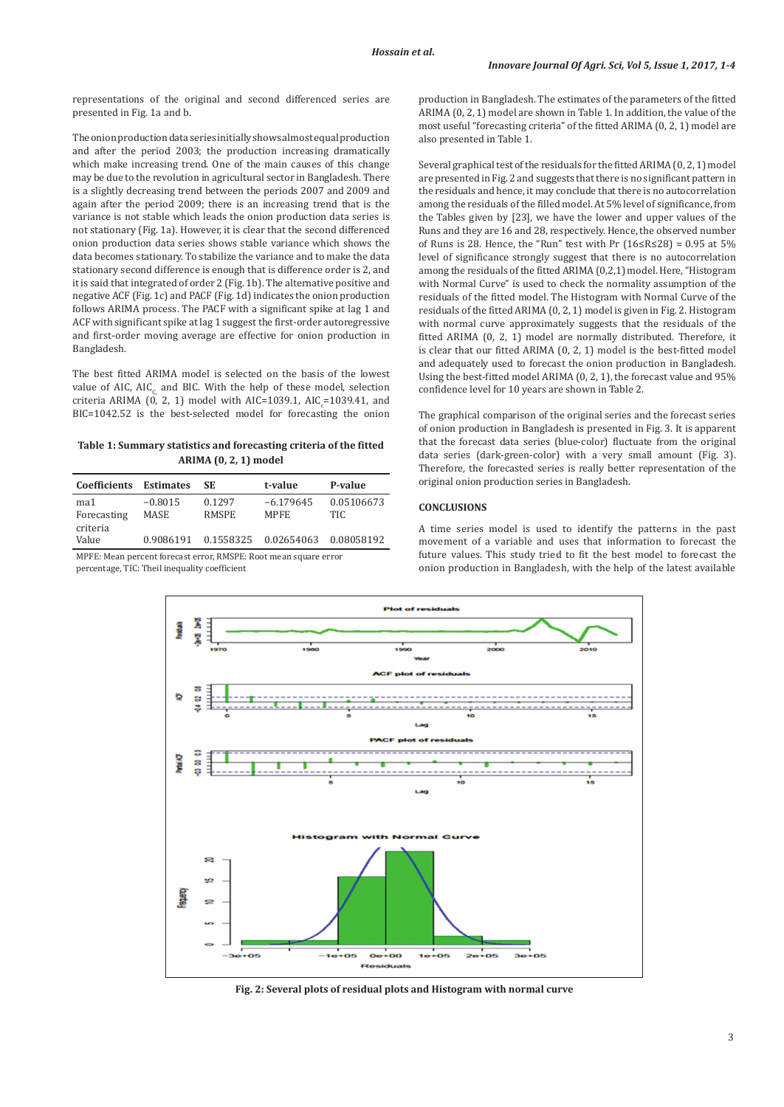representations of the original and second differenced series are presented in Fig. 1a and b.

The onion production data series initially shows almost equal production and after the period 2003; the production increasing dramatically which make increasing trend. One of the main causes of this change may be due to the revolution in agricultural sector in Bangladesh. There is a slightly decreasing trend between the periods 2007 and 2009 and again after the period 2009; there is an increasing trend that is the variance is not stable which leads the onion production data series is not stationary (Fig. 1a). However, it is clear that the second differenced onion production data series shows stable variance which shows the data becomes stationary. To stabilize the variance and to make the data stationary second difference is enough that is difference order is 2, and it is said that integrated of order 2 (Fig. 1b). The alternative positive and negative ACF (Fig. 1c) and PACF (Fig. 1d) indicates the onion production follows ARIMA process. The PACF with a significant spike at lag 1 and ACF with significant spike at lag 1 suggest the first-order autoregressive and first-order moving average are effective for onion production in Bangladesh.

The best fitted ARIMA model is selected on the basis of the lowest value of AIC, AIC, and BIC. With the help of these model, selection criteria ARIMA (0, 2, 1) model with AIC=1039.1, AIC  $_{c}$ =1039.41, and BIC=1042.52 is the best-selected model for forecasting the onion

# **Table 1: Summary statistics and forecasting criteria of the fitted ARIMA (0, 2, 1) model**

| Coefficients       | <b>Estimates</b>  | SE.                    | t-value                    | P-value            |
|--------------------|-------------------|------------------------|----------------------------|--------------------|
| ma1<br>Forecasting | $-0.8015$<br>MASE | 0.1297<br><b>RMSPE</b> | $-6.179645$<br><b>MPFE</b> | 0.05106673<br>TIC. |
| criteria<br>Value  | 0.9086191         | 0.1558325              | 0.02654063                 | 0.08058192         |

MPFE: Mean percent forecast error, RMSPE: Root mean square error percentage, TIC: Theil inequality coefficient

production in Bangladesh. The estimates of the parameters of the fitted ARIMA (0, 2, 1) model are shown in Table 1. In addition, the value of the most useful "forecasting criteria" of the fitted ARIMA (0, 2, 1) model are also presented in Table 1.

Several graphical test of the residuals for the fitted ARIMA (0, 2, 1) model are presented in Fig. 2 and suggests that there is no significant pattern in the residuals and hence, it may conclude that there is no autocorrelation among the residuals of the filled model. At 5% level of significance, from the Tables given by [23], we have the lower and upper values of the Runs and they are 16 and 28, respectively. Hence, the observed number of Runs is 28. Hence, the "Run" test with Pr  $(16 \le R \le 28) = 0.95$  at 5% level of significance strongly suggest that there is no autocorrelation among the residuals of the fitted ARIMA (0,2,1) model. Here, "Histogram with Normal Curve" is used to check the normality assumption of the residuals of the fitted model. The Histogram with Normal Curve of the residuals of the fitted ARIMA (0, 2, 1) model is given in Fig. 2. Histogram with normal curve approximately suggests that the residuals of the fitted ARIMA (0, 2, 1) model are normally distributed. Therefore, it is clear that our fitted ARIMA (0, 2, 1) model is the best-fitted model and adequately used to forecast the onion production in Bangladesh. Using the best-fitted model ARIMA (0, 2, 1), the forecast value and 95% confidence level for 10 years are shown in Table 2.

The graphical comparison of the original series and the forecast series of onion production in Bangladesh is presented in Fig. 3. It is apparent that the forecast data series (blue-color) fluctuate from the original data series (dark-green-color) with a very small amount (Fig. 3). Therefore, the forecasted series is really better representation of the original onion production series in Bangladesh.

# **CONCLUSIONS**

A time series model is used to identify the patterns in the past movement of a variable and uses that information to forecast the future values. This study tried to fit the best model to forecast the onion production in Bangladesh, with the help of the latest available



**Fig. 2: Several plots of residual plots and Histogram with normal curve**